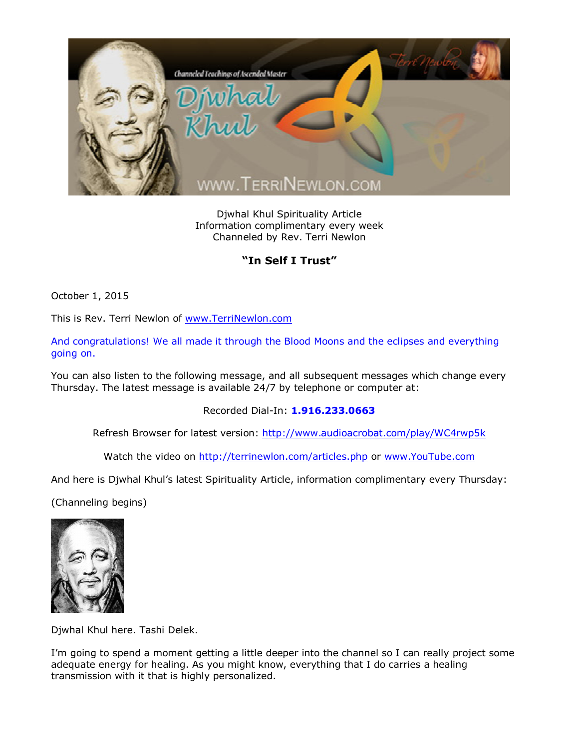

Djwhal Khul Spirituality Article Information complimentary every week Channeled by Rev. Terri Newlon

## **"In Self I Trust"**

October 1, 2015

This is Rev. Terri Newlon of [www.TerriNewlon.com](http://www.terrinewlon.com/)

And congratulations! We all made it through the Blood Moons and the eclipses and everything going on.

You can also listen to the following message, and all subsequent messages which change every Thursday. The latest message is available 24/7 by telephone or computer at:

Recorded Dial-In: **1.916.233.0663**

Refresh Browser for latest version: <http://www.audioacrobat.com/play/WC4rwp5k>

Watch the video on <http://terrinewlon.com/articles.php> or [www.YouTube.com](http://www.youtube.com/)

And here is Djwhal Khul's latest Spirituality Article, information complimentary every Thursday:

(Channeling begins)



Djwhal Khul here. Tashi Delek.

I'm going to spend a moment getting a little deeper into the channel so I can really project some adequate energy for healing. As you might know, everything that I do carries a healing transmission with it that is highly personalized.